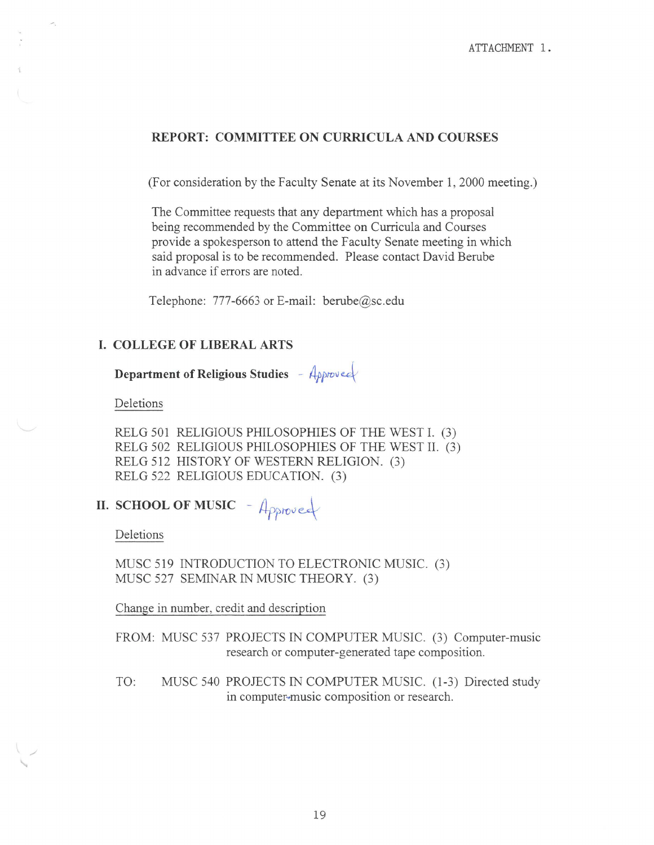## **REPORT: COMMITTEE ON CURRICULA AND COURSES**

(For consideration by the Faculty Senate at its November 1, 2000 meeting.)

The Committee requests that any department which has a proposal being recommended by the Committee on Curricula and Courses provide a spokesperson to attend the Faculty Senate meeting in which said proposal is to be recommended. Please contact David Berube in advance if errors are noted.

Telephone: 777-6663 or E-mail: berube@sc.edu

## **I. COLLEGE OF LIBERAL ARTS**

**Department of Religious Studies** - *Approvee* 

Deletions

RELG 501 RELIGIOUS PHILOSOPHIES OF THE WEST I. (3) RELG 502 RELIGIOUS PHILOSOPHIES OF THE WEST II. (3) RELG 512 HISTORY OF WESTERN RELIGION. (3) RELG 522 RELIGIOUS EDUCATION. (3)

**II. SCHOOL OF MUSIC** - Approved

Deletions

MUSC 519 INTRODUCTION TO ELECTRONIC MUSIC. (3) MUSC 527 SEMINAR IN MUSIC THEORY. (3)

Change in number, credit and description

FROM: MUSC 537 PROJECTS IN COMPUTER MUSIC. (3) Computer-music research or computer-generated tape composition.

TO: MUSC 540 PROJECTS IN COMPUTER MUSIC. (1-3) Directed study in computer-music composition or research.